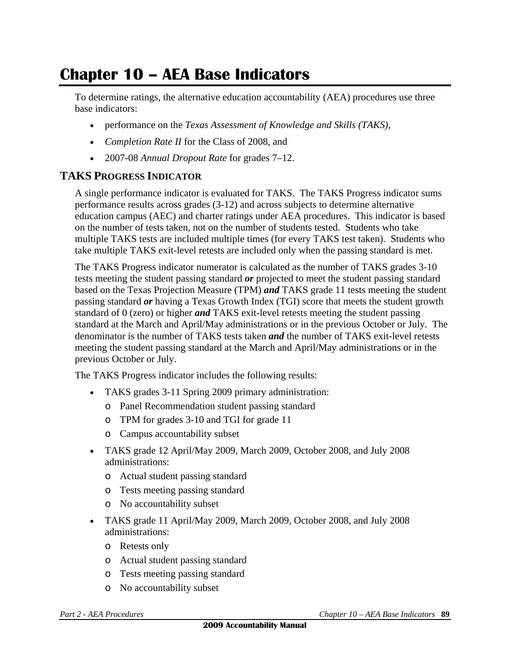# **Chapter 10 – AEA Base Indicators**

To determine ratings, the alternative education accountability (AEA) procedures use three base indicators:

- performance on the *Texas Assessment of Knowledge and Skills (TAKS)*,
- *Completion Rate II* for the Class of 2008, and
- 2007-08 *Annual Dropout Rate* for grades 7–12.

## **TAKS PROGRESS INDICATOR**

A single performance indicator is evaluated for TAKS. The TAKS Progress indicator sums performance results across grades (3-12) and across subjects to determine alternative education campus (AEC) and charter ratings under AEA procedures. This indicator is based on the number of tests taken, not on the number of students tested. Students who take multiple TAKS tests are included multiple times (for every TAKS test taken). Students who take multiple TAKS exit-level retests are included only when the passing standard is met.

The TAKS Progress indicator numerator is calculated as the number of TAKS grades 3-10 tests meeting the student passing standard *or* projected to meet the student passing standard based on the Texas Projection Measure (TPM) *and* TAKS grade 11 tests meeting the student passing standard *or* having a Texas Growth Index (TGI) score that meets the student growth standard of 0 (zero) or higher *and* TAKS exit-level retests meeting the student passing standard at the March and April/May administrations or in the previous October or July. The denominator is the number of TAKS tests taken *and* the number of TAKS exit-level retests meeting the student passing standard at the March and April/May administrations or in the previous October or July.

The TAKS Progress indicator includes the following results:

- TAKS grades 3-11 Spring 2009 primary administration:
	- o Panel Recommendation student passing standard
	- o TPM for grades 3-10 and TGI for grade 11
	- o Campus accountability subset
- TAKS grade 12 April/May 2009, March 2009, October 2008, and July 2008 administrations:
	- o Actual student passing standard
	- o Tests meeting passing standard
	- o No accountability subset
- TAKS grade 11 April/May 2009, March 2009, October 2008, and July 2008 administrations:
	- o Retests only
	- o Actual student passing standard
	- o Tests meeting passing standard
	- o No accountability subset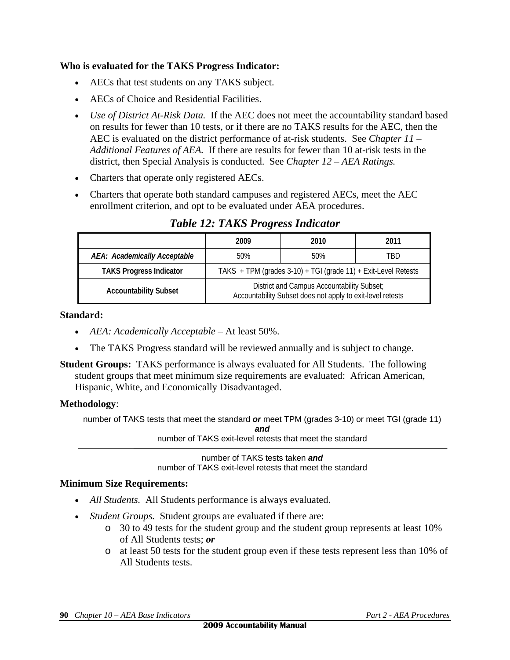#### **Who is evaluated for the TAKS Progress Indicator:**

- AECs that test students on any TAKS subject.
- AECs of Choice and Residential Facilities.
- Use of District At-Risk Data. If the AEC does not meet the accountability standard based on results for fewer than 10 tests, or if there are no TAKS results for the AEC, then the AEC is evaluated on the district performance of at-risk students. See *Chapter 11 – Additional Features of AEA.* If there are results for fewer than 10 at-risk tests in the district, then Special Analysis is conducted. See *Chapter 12 – AEA Ratings.*
- Charters that operate only registered AECs.
- Charters that operate both standard campuses and registered AECs, meet the AEC enrollment criterion, and opt to be evaluated under AEA procedures.

|                                | 2009                                                                                                     | 2010 | 2011 |  |
|--------------------------------|----------------------------------------------------------------------------------------------------------|------|------|--|
| AEA: Academically Acceptable   | 50%                                                                                                      | 50%  | TRD  |  |
| <b>TAKS Progress Indicator</b> | TAKS + TPM (grades 3-10) + TGI (grade 11) + Exit-Level Retests                                           |      |      |  |
| <b>Accountability Subset</b>   | District and Campus Accountability Subset;<br>Accountability Subset does not apply to exit-level retests |      |      |  |

*Table 12: TAKS Progress Indicator* 

#### **Standard:**

- *AEA: Academically Acceptable* At least 50%.
- The TAKS Progress standard will be reviewed annually and is subject to change.
- **Student Groups:** TAKS performance is always evaluated for All Students. The following student groups that meet minimum size requirements are evaluated: African American, Hispanic, White, and Economically Disadvantaged.

#### **Methodology**:

number of TAKS tests that meet the standard *or* meet TPM (grades 3-10) or meet TGI (grade 11) *and*

number of TAKS exit-level retests that meet the standard

number of TAKS tests taken *and*  number of TAKS exit-level retests that meet the standard

#### **Minimum Size Requirements:**

- *All Students.* All Students performance is always evaluated.
- *Student Groups.* Student groups are evaluated if there are:
	- o 30 to 49 tests for the student group and the student group represents at least 10% of All Students tests; *or*
	- o at least 50 tests for the student group even if these tests represent less than 10% of All Students tests.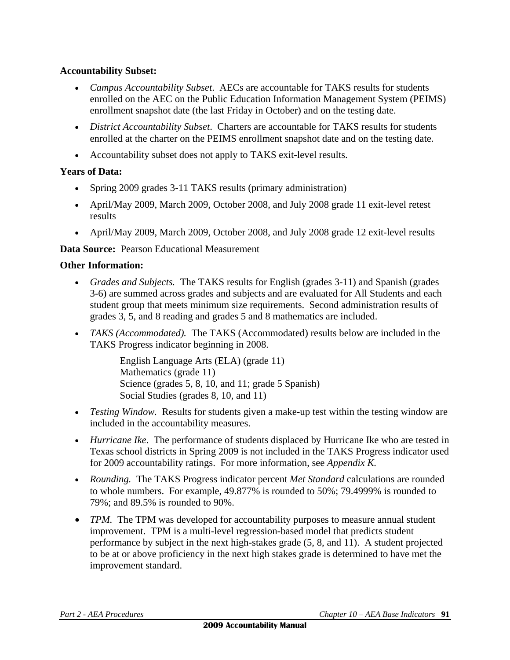## **Accountability Subset:**

- *Campus Accountability Subset*. AECs are accountable for TAKS results for students enrolled on the AEC on the Public Education Information Management System (PEIMS) enrollment snapshot date (the last Friday in October) and on the testing date.
- *District Accountability Subset*. Charters are accountable for TAKS results for students enrolled at the charter on the PEIMS enrollment snapshot date and on the testing date.
- Accountability subset does not apply to TAKS exit-level results.

## **Years of Data:**

- Spring 2009 grades 3-11 TAKS results (primary administration)
- April/May 2009, March 2009, October 2008, and July 2008 grade 11 exit-level retest results
- April/May 2009, March 2009, October 2008, and July 2008 grade 12 exit-level results

## **Data Source:** Pearson Educational Measurement

#### **Other Information:**

- *Grades and Subjects.* The TAKS results for English (grades 3-11) and Spanish (grades 3-6) are summed across grades and subjects and are evaluated for All Students and each student group that meets minimum size requirements. Second administration results of grades 3, 5, and 8 reading and grades 5 and 8 mathematics are included.
- *TAKS (Accommodated).* The TAKS (Accommodated) results below are included in the TAKS Progress indicator beginning in 2008.

English Language Arts (ELA) (grade 11) Mathematics (grade 11) Science (grades 5, 8, 10, and 11; grade 5 Spanish) Social Studies (grades 8, 10, and 11)

- *Testing Window.* Results for students given a make-up test within the testing window are included in the accountability measures.
- *Hurricane Ike*. The performance of students displaced by Hurricane Ike who are tested in Texas school districts in Spring 2009 is not included in the TAKS Progress indicator used for 2009 accountability ratings. For more information, see *Appendix K.*
- *Rounding.* The TAKS Progress indicator percent *Met Standard* calculations are rounded to whole numbers. For example, 49.877% is rounded to 50%; 79.4999% is rounded to 79%; and 89.5% is rounded to 90%.
- *TPM*. The TPM was developed for accountability purposes to measure annual student improvement. TPM is a multi-level regression-based model that predicts student performance by subject in the next high-stakes grade (5, 8, and 11). A student projected to be at or above proficiency in the next high stakes grade is determined to have met the improvement standard.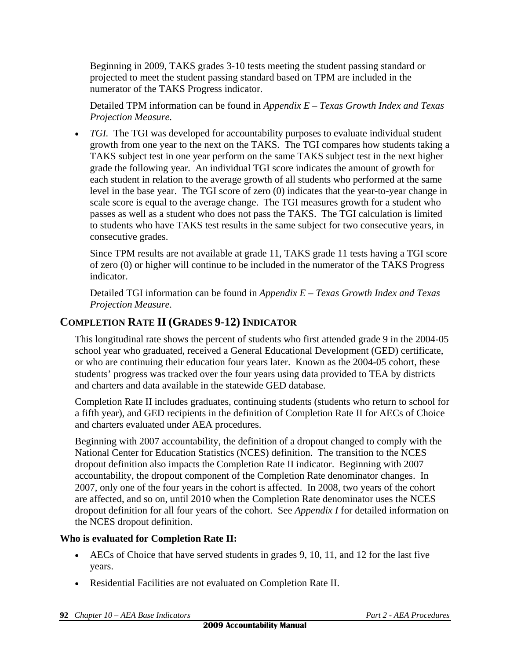Beginning in 2009, TAKS grades 3-10 tests meeting the student passing standard or projected to meet the student passing standard based on TPM are included in the numerator of the TAKS Progress indicator.

Detailed TPM information can be found in *Appendix E – Texas Growth Index and Texas Projection Measure.*

• *TGI.* The TGI was developed for accountability purposes to evaluate individual student growth from one year to the next on the TAKS. The TGI compares how students taking a TAKS subject test in one year perform on the same TAKS subject test in the next higher grade the following year. An individual TGI score indicates the amount of growth for each student in relation to the average growth of all students who performed at the same level in the base year. The TGI score of zero (0) indicates that the year-to-year change in scale score is equal to the average change. The TGI measures growth for a student who passes as well as a student who does not pass the TAKS. The TGI calculation is limited to students who have TAKS test results in the same subject for two consecutive years, in consecutive grades.

Since TPM results are not available at grade 11, TAKS grade 11 tests having a TGI score of zero (0) or higher will continue to be included in the numerator of the TAKS Progress indicator.

Detailed TGI information can be found in *Appendix E – Texas Growth Index and Texas Projection Measure.*

# **COMPLETION RATE II (GRADES 9-12) INDICATOR**

This longitudinal rate shows the percent of students who first attended grade 9 in the 2004-05 school year who graduated, received a General Educational Development (GED) certificate, or who are continuing their education four years later. Known as the 2004-05 cohort, these students' progress was tracked over the four years using data provided to TEA by districts and charters and data available in the statewide GED database.

Completion Rate II includes graduates, continuing students (students who return to school for a fifth year), and GED recipients in the definition of Completion Rate II for AECs of Choice and charters evaluated under AEA procedures.

Beginning with 2007 accountability, the definition of a dropout changed to comply with the National Center for Education Statistics (NCES) definition. The transition to the NCES dropout definition also impacts the Completion Rate II indicator. Beginning with 2007 accountability, the dropout component of the Completion Rate denominator changes. In 2007, only one of the four years in the cohort is affected. In 2008, two years of the cohort are affected, and so on, until 2010 when the Completion Rate denominator uses the NCES dropout definition for all four years of the cohort. See *Appendix I* for detailed information on the NCES dropout definition.

## **Who is evaluated for Completion Rate II:**

- $\blacktriangleright$  AECs of Choice that have served students in grades 9, 10, 11, and 12 for the last five years.
- Residential Facilities are not evaluated on Completion Rate II.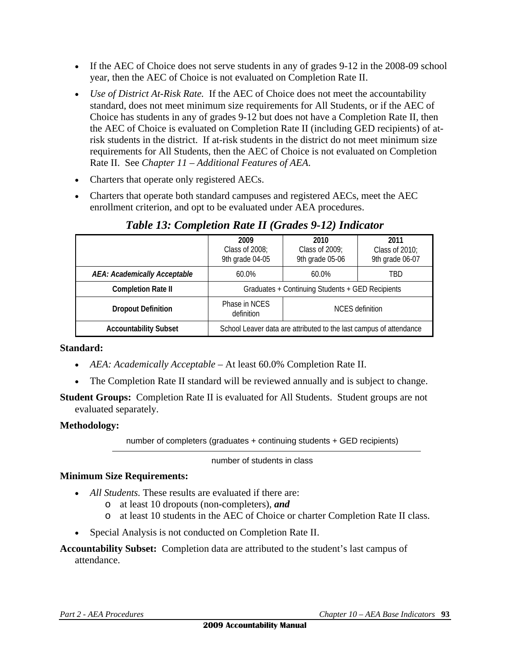- If the AEC of Choice does not serve students in any of grades 9-12 in the 2008-09 school year, then the AEC of Choice is not evaluated on Completion Rate II.
- *Use of District At-Risk Rate.* If the AEC of Choice does not meet the accountability standard, does not meet minimum size requirements for All Students, or if the AEC of Choice has students in any of grades 9-12 but does not have a Completion Rate II, then the AEC of Choice is evaluated on Completion Rate II (including GED recipients) of atrisk students in the district. If at-risk students in the district do not meet minimum size requirements for All Students, then the AEC of Choice is not evaluated on Completion Rate II. See *Chapter 11 – Additional Features of AEA*.
- Charters that operate only registered AECs.
- Charters that operate both standard campuses and registered AECs, meet the AEC enrollment criterion, and opt to be evaluated under AEA procedures.

|                              | 2009<br>Class of 2008;<br>9th grade 04-05                          | 2010<br>Class of 2009;<br>9th grade 05-06 | 2011<br>Class of 2010;<br>9th grade 06-07 |
|------------------------------|--------------------------------------------------------------------|-------------------------------------------|-------------------------------------------|
| AEA: Academically Acceptable | $60.0\%$                                                           | $60.0\%$                                  | TBD                                       |
| <b>Completion Rate II</b>    | Graduates + Continuing Students + GED Recipients                   |                                           |                                           |
| <b>Dropout Definition</b>    | Phase in NCES<br>definition                                        | NCES definition                           |                                           |
| <b>Accountability Subset</b> | School Leaver data are attributed to the last campus of attendance |                                           |                                           |

# *Table 13: Completion Rate II (Grades 9-12) Indicator*

#### **Standard:**

- *AEA: Academically Acceptable* At least 60.0% Completion Rate II.
- The Completion Rate II standard will be reviewed annually and is subject to change.
- **Student Groups:** Completion Rate II is evaluated for All Students. Student groups are not evaluated separately.

#### **Methodology:**

number of completers (graduates + continuing students + GED recipients)

number of students in class

#### **Minimum Size Requirements:**

- *All Students.* These results are evaluated if there are:
	- o at least 10 dropouts (non-completers), *and*
	- o at least 10 students in the AEC of Choice or charter Completion Rate II class.
- Special Analysis is not conducted on Completion Rate II.

**Accountability Subset:** Completion data are attributed to the student's last campus of attendance.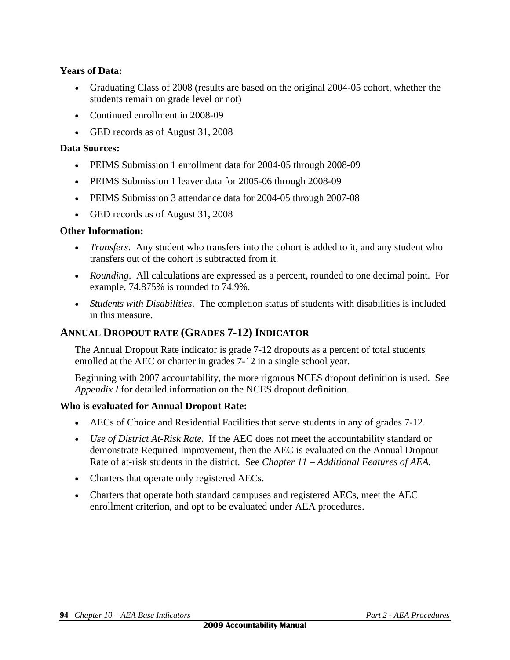#### **Years of Data:**

- Graduating Class of 2008 (results are based on the original 2004-05 cohort, whether the students remain on grade level or not)
- Continued enrollment in 2008-09
- GED records as of August 31, 2008

#### **Data Sources:**

- PEIMS Submission 1 enrollment data for 2004-05 through 2008-09
- PEIMS Submission 1 leaver data for 2005-06 through 2008-09
- PEIMS Submission 3 attendance data for 2004-05 through 2007-08
- GED records as of August 31, 2008

#### **Other Information:**

- *Transfers*. Any student who transfers into the cohort is added to it, and any student who transfers out of the cohort is subtracted from it.
- *Rounding*. All calculations are expressed as a percent, rounded to one decimal point. For example, 74.875% is rounded to 74.9%.
- *Students with Disabilities*. The completion status of students with disabilities is included in this measure.

#### **ANNUAL DROPOUT RATE (GRADES 7-12) INDICATOR**

The Annual Dropout Rate indicator is grade 7-12 dropouts as a percent of total students enrolled at the AEC or charter in grades 7-12 in a single school year.

Beginning with 2007 accountability, the more rigorous NCES dropout definition is used. See *Appendix I* for detailed information on the NCES dropout definition.

#### **Who is evaluated for Annual Dropout Rate:**

- AECs of Choice and Residential Facilities that serve students in any of grades 7-12.
- *Use of District At-Risk Rate.* If the AEC does not meet the accountability standard or demonstrate Required Improvement, then the AEC is evaluated on the Annual Dropout Rate of at-risk students in the district. See *Chapter 11 – Additional Features of AEA.*
- Charters that operate only registered AECs.
- Charters that operate both standard campuses and registered AECs, meet the AEC enrollment criterion, and opt to be evaluated under AEA procedures.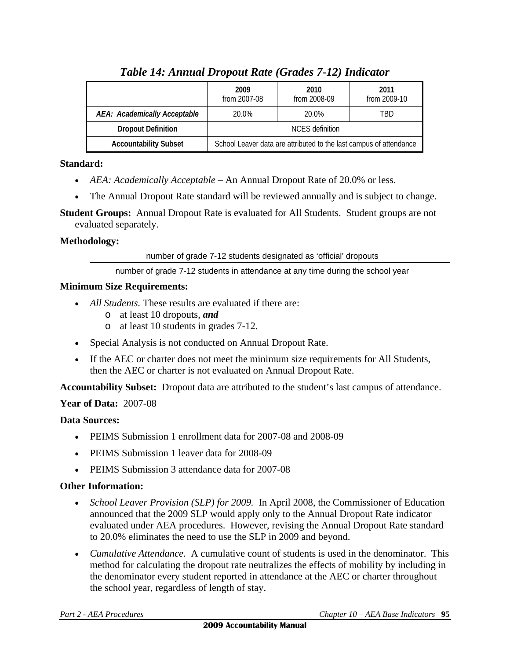|                              | 2009<br>from 2007-08                                               | 2010<br>from 2008-09 | 2011<br>from 2009-10 |
|------------------------------|--------------------------------------------------------------------|----------------------|----------------------|
| AEA: Academically Acceptable | 20.0%                                                              | 20.0%                | TRD                  |
| <b>Dropout Definition</b>    | NCES definition                                                    |                      |                      |
| <b>Accountability Subset</b> | School Leaver data are attributed to the last campus of attendance |                      |                      |

# *Table 14: Annual Dropout Rate (Grades 7-12) Indicator*

## **Standard:**

- *AEA: Academically Acceptable* An Annual Dropout Rate of 20.0% or less.
- The Annual Dropout Rate standard will be reviewed annually and is subject to change.

**Student Groups:** Annual Dropout Rate is evaluated for All Students. Student groups are not evaluated separately.

#### **Methodology:**

number of grade 7-12 students designated as 'official' dropouts

number of grade 7-12 students in attendance at any time during the school year

#### **Minimum Size Requirements:**

- *All Students*. These results are evaluated if there are:
	- o at least 10 dropouts, *and*
	- o at least 10 students in grades 7-12.
- Special Analysis is not conducted on Annual Dropout Rate.
- If the AEC or charter does not meet the minimum size requirements for All Students, then the AEC or charter is not evaluated on Annual Dropout Rate.

**Accountability Subset:** Dropout data are attributed to the student's last campus of attendance.

#### **Year of Data:** 2007-08

#### **Data Sources:**

- PEIMS Submission 1 enrollment data for 2007-08 and 2008-09
- PEIMS Submission 1 leaver data for 2008-09
- **PEIMS Submission 3 attendance data for 2007-08**

#### **Other Information:**

- *School Leaver Provision (SLP) for 2009.* In April 2008, the Commissioner of Education announced that the 2009 SLP would apply only to the Annual Dropout Rate indicator evaluated under AEA procedures. However, revising the Annual Dropout Rate standard to 20.0% eliminates the need to use the SLP in 2009 and beyond.
- *Cumulative Attendance.* A cumulative count of students is used in the denominator. This method for calculating the dropout rate neutralizes the effects of mobility by including in the denominator every student reported in attendance at the AEC or charter throughout the school year, regardless of length of stay.